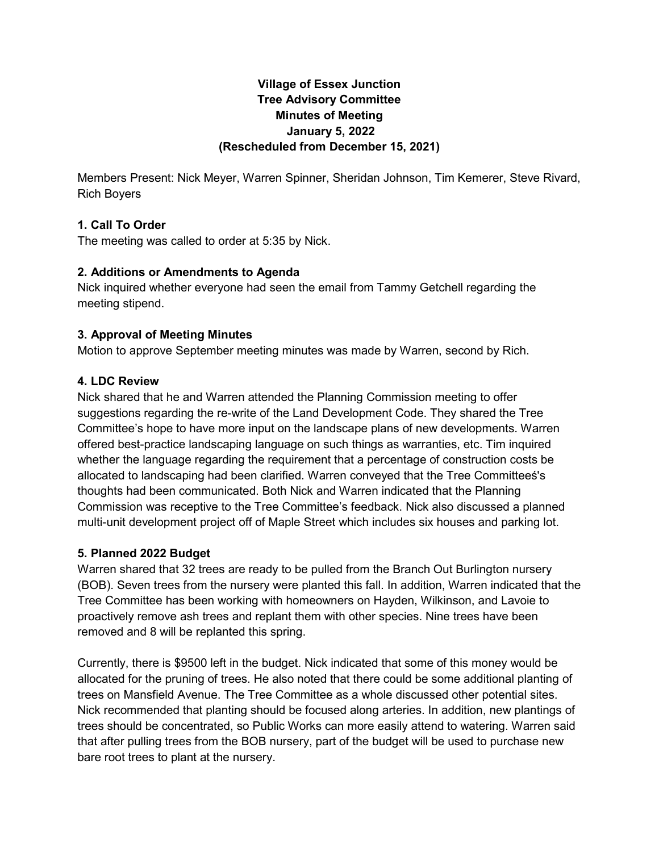## **Village of Essex Junction Tree Advisory Committee Minutes of Meeting January 5, 2022 (Rescheduled from December 15, 2021)**

Members Present: Nick Meyer, Warren Spinner, Sheridan Johnson, Tim Kemerer, Steve Rivard, Rich Boyers

## **1. Call To Order**

The meeting was called to order at 5:35 by Nick.

## **2. Additions or Amendments to Agenda**

Nick inquired whether everyone had seen the email from Tammy Getchell regarding the meeting stipend.

# **3. Approval of Meeting Minutes**

Motion to approve September meeting minutes was made by Warren, second by Rich.

## **4. LDC Review**

Nick shared that he and Warren attended the Planning Commission meeting to offer suggestions regarding the re-write of the Land Development Code. They shared the Tree Committee's hope to have more input on the landscape plans of new developments. Warren offered best-practice landscaping language on such things as warranties, etc. Tim inquired whether the language regarding the requirement that a percentage of construction costs be allocated to landscaping had been clarified. Warren conveyed that the Tree Committeeś's thoughts had been communicated. Both Nick and Warren indicated that the Planning Commission was receptive to the Tree Committee's feedback. Nick also discussed a planned multi-unit development project off of Maple Street which includes six houses and parking lot.

## **5. Planned 2022 Budget**

Warren shared that 32 trees are ready to be pulled from the Branch Out Burlington nursery (BOB). Seven trees from the nursery were planted this fall. In addition, Warren indicated that the Tree Committee has been working with homeowners on Hayden, Wilkinson, and Lavoie to proactively remove ash trees and replant them with other species. Nine trees have been removed and 8 will be replanted this spring.

Currently, there is \$9500 left in the budget. Nick indicated that some of this money would be allocated for the pruning of trees. He also noted that there could be some additional planting of trees on Mansfield Avenue. The Tree Committee as a whole discussed other potential sites. Nick recommended that planting should be focused along arteries. In addition, new plantings of trees should be concentrated, so Public Works can more easily attend to watering. Warren said that after pulling trees from the BOB nursery, part of the budget will be used to purchase new bare root trees to plant at the nursery.